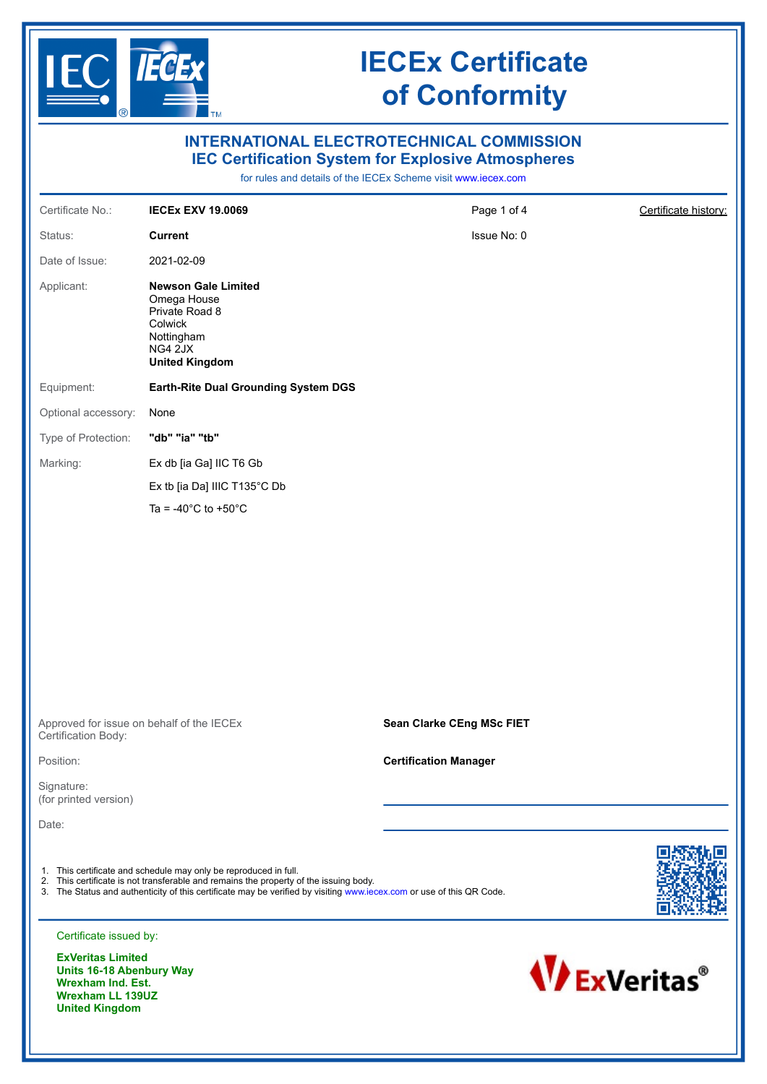

**Wrexham Ind. Est. Wrexham LL 139UZ United Kingdom**

# **IECEx Certificate of Conformity**

| <b>INTERNATIONAL ELECTROTECHNICAL COMMISSION</b><br><b>IEC Certification System for Explosive Atmospheres</b><br>for rules and details of the IECEx Scheme visit www.iecex.com |                                                                                                                                                                                                                                                                                   |                              |                      |  |  |  |
|--------------------------------------------------------------------------------------------------------------------------------------------------------------------------------|-----------------------------------------------------------------------------------------------------------------------------------------------------------------------------------------------------------------------------------------------------------------------------------|------------------------------|----------------------|--|--|--|
| Certificate No.:                                                                                                                                                               | <b>IECEX EXV 19.0069</b>                                                                                                                                                                                                                                                          | Page 1 of 4                  | Certificate history: |  |  |  |
| Status:                                                                                                                                                                        | <b>Current</b>                                                                                                                                                                                                                                                                    | Issue No: 0                  |                      |  |  |  |
| Date of Issue:                                                                                                                                                                 | 2021-02-09                                                                                                                                                                                                                                                                        |                              |                      |  |  |  |
| Applicant:                                                                                                                                                                     | <b>Newson Gale Limited</b><br>Omega House<br>Private Road 8<br>Colwick<br>Nottingham<br>NG4 2JX<br><b>United Kingdom</b>                                                                                                                                                          |                              |                      |  |  |  |
| Equipment:                                                                                                                                                                     | <b>Earth-Rite Dual Grounding System DGS</b>                                                                                                                                                                                                                                       |                              |                      |  |  |  |
| Optional accessory:                                                                                                                                                            | None                                                                                                                                                                                                                                                                              |                              |                      |  |  |  |
| Type of Protection:                                                                                                                                                            | "db" "ia" "tb"                                                                                                                                                                                                                                                                    |                              |                      |  |  |  |
| Marking:                                                                                                                                                                       | Ex db [ia Ga] IIC T6 Gb                                                                                                                                                                                                                                                           |                              |                      |  |  |  |
|                                                                                                                                                                                | Ex tb [ia Da] IIIC T135°C Db                                                                                                                                                                                                                                                      |                              |                      |  |  |  |
|                                                                                                                                                                                | Ta = -40 $^{\circ}$ C to +50 $^{\circ}$ C                                                                                                                                                                                                                                         |                              |                      |  |  |  |
|                                                                                                                                                                                |                                                                                                                                                                                                                                                                                   |                              |                      |  |  |  |
| Approved for issue on behalf of the IECEx<br>Certification Body:                                                                                                               |                                                                                                                                                                                                                                                                                   | Sean Clarke CEng MSc FIET    |                      |  |  |  |
| Position:                                                                                                                                                                      |                                                                                                                                                                                                                                                                                   | <b>Certification Manager</b> |                      |  |  |  |
| Signature:<br>(for printed version)                                                                                                                                            |                                                                                                                                                                                                                                                                                   |                              |                      |  |  |  |
| Date:                                                                                                                                                                          |                                                                                                                                                                                                                                                                                   |                              |                      |  |  |  |
|                                                                                                                                                                                | 1. This certificate and schedule may only be reproduced in full.<br>2. This certificate is not transferable and remains the property of the issuing body.<br>3. The Status and authenticity of this certificate may be verified by visiting www.iecex.com or use of this QR Code. |                              |                      |  |  |  |
| Certificate issued by:                                                                                                                                                         |                                                                                                                                                                                                                                                                                   |                              |                      |  |  |  |
| <b>ExVeritas Limited</b><br><b>Units 16-18 Abenbury Way</b><br><b>Wrexham Ind. Est.</b>                                                                                        |                                                                                                                                                                                                                                                                                   |                              | <b>WExVeritas®</b>   |  |  |  |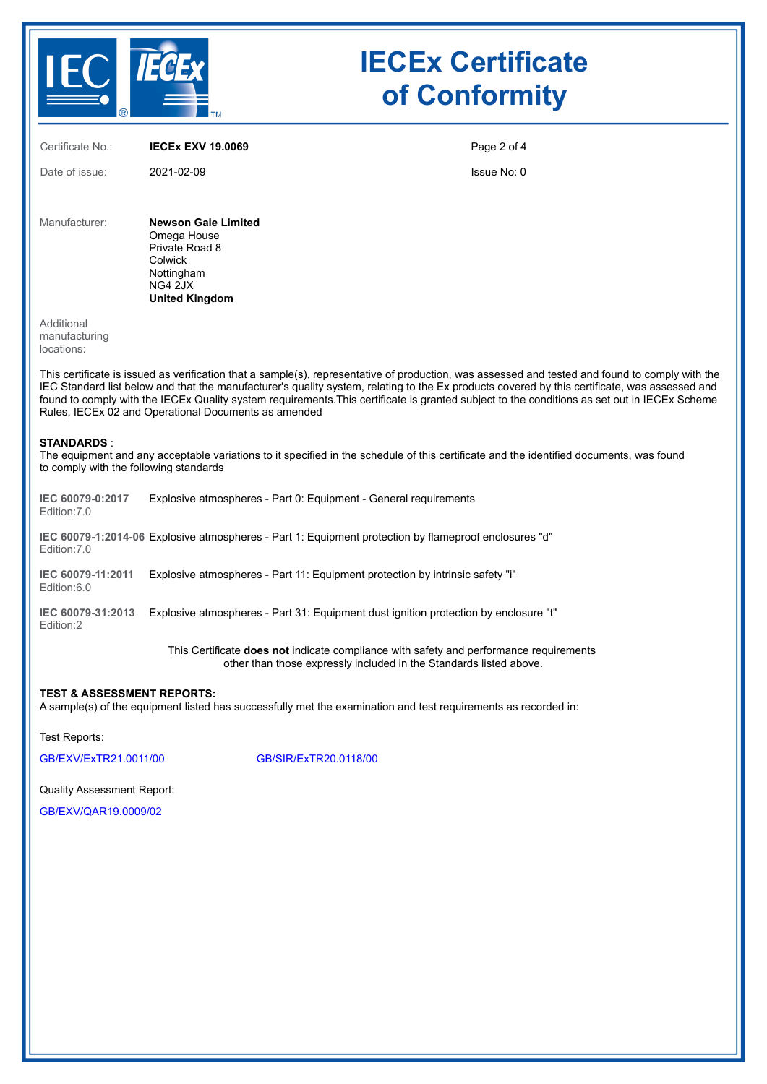

# **IECEx Certificate of Conformity**

Certificate No.: **IECEx EXV 19.0069** Date of issue: 2021-02-09 Page 2 of 4 Issue No: 0 Manufacturer: **Newson Gale Limited** Omega House Private Road 8 Colwick Nottingham NG4 2JX **United Kingdom Additional** manufacturing locations: This certificate is issued as verification that a sample(s), representative of production, was assessed and tested and found to comply with the IEC Standard list below and that the manufacturer's quality system, relating to the Ex products covered by this certificate, was assessed and found to comply with the IECEx Quality system requirements.This certificate is granted subject to the conditions as set out in IECEx Scheme Rules, IECEx 02 and Operational Documents as amended **STANDARDS** : The equipment and any acceptable variations to it specified in the schedule of this certificate and the identified documents, was found to comply with the following standards **IEC 60079-0:2017** Edition:7.0 Explosive atmospheres - Part 0: Equipment - General requirements **IEC 60079-1:2014-06** Explosive atmospheres - Part 1: Equipment protection by flameproof enclosures "d" Edition:7.0 **IEC 60079-11:2011** Explosive atmospheres - Part 11: Equipment protection by intrinsic safety "i" Edition:6.0 **IEC 60079-31:2013** Explosive atmospheres - Part 31: Equipment dust ignition protection by enclosure "t" Edition:2

This Certificate **does not** indicate compliance with safety and performance requirements other than those expressly included in the Standards listed above.

#### **TEST & ASSESSMENT REPORTS:**

A sample(s) of the equipment listed has successfully met the examination and test requirements as recorded in:

Test Reports:

[GB/EXV/ExTR21.0011/00](https://www.iecex-certs.com/deliverables/REPORT/71210/view) [GB/SIR/ExTR20.0118/00](https://www.iecex-certs.com/deliverables/REPORT/66307/view)

Quality Assessment Report:

[GB/EXV/QAR19.0009/02](https://www.iecex-certs.com/deliverables/REPORT/69606/view)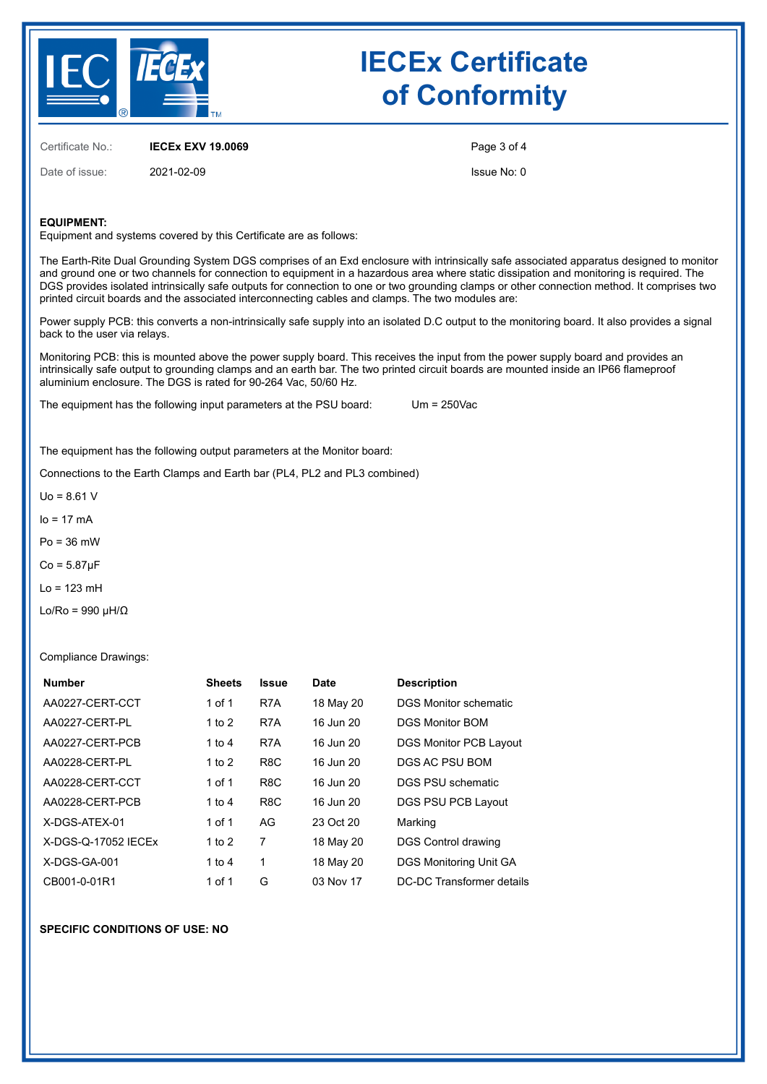

# **IECEx Certificate of Conformity**

Certificate No.: **IECEx EXV 19.0069**

Date of issue: 2021-02-09

Page 3 of 4

Issue No: 0

### **EQUIPMENT:**

Equipment and systems covered by this Certificate are as follows:

The Earth-Rite Dual Grounding System DGS comprises of an Exd enclosure with intrinsically safe associated apparatus designed to monitor and ground one or two channels for connection to equipment in a hazardous area where static dissipation and monitoring is required. The DGS provides isolated intrinsically safe outputs for connection to one or two grounding clamps or other connection method. It comprises two printed circuit boards and the associated interconnecting cables and clamps. The two modules are:

Power supply PCB: this converts a non-intrinsically safe supply into an isolated D.C output to the monitoring board. It also provides a signal back to the user via relays.

Monitoring PCB: this is mounted above the power supply board. This receives the input from the power supply board and provides an intrinsically safe output to grounding clamps and an earth bar. The two printed circuit boards are mounted inside an IP66 flameproof aluminium enclosure. The DGS is rated for 90-264 Vac, 50/60 Hz.

The equipment has the following input parameters at the PSU board: Um = 250Vac

The equipment has the following output parameters at the Monitor board:

Connections to the Earth Clamps and Earth bar (PL4, PL2 and PL3 combined)

 $U_0 = 8.61$  V

 $Io = 17$  mA

Po = 36 mW

 $Co = 5.87$ μ $F$ 

 $Lo = 123$  mH

Lo/Ro = 990 μH/Ω

Compliance Drawings:

| <b>Number</b>       | <b>Sheets</b> | <b>Issue</b>     | <b>Date</b> | <b>Description</b>            |
|---------------------|---------------|------------------|-------------|-------------------------------|
| AA0227-CERT-CCT     | 1 of 1        | R7A              | 18 May 20   | DGS Monitor schematic         |
| AA0227-CERT-PL      | 1 to $2$      | R7A              | 16 Jun 20   | DGS Monitor BOM               |
| AA0227-CERT-PCB     | 1 to $4$      | R7A              | 16 Jun 20   | <b>DGS Monitor PCB Layout</b> |
| AA0228-CERT-PL      | 1 to $2$      | R <sub>8</sub> C | 16 Jun 20   | DGS AC PSU BOM                |
| AA0228-CERT-CCT     | 1 of 1        | R <sub>8</sub> C | 16 Jun 20   | DGS PSU schematic             |
| AA0228-CERT-PCB     | 1 to $4$      | R <sub>8</sub> C | 16 Jun 20   | DGS PSU PCB Layout            |
| X-DGS-ATEX-01       | 1 of 1        | AG               | 23 Oct 20   | Marking                       |
| X-DGS-Q-17052 IECEx | 1 to $2$      | 7                | 18 May 20   | <b>DGS Control drawing</b>    |
| $X-DGS-GA-001$      | 1 to $4$      | 1                | 18 May 20   | DGS Monitoring Unit GA        |
| CB001-0-01R1        | 1 of 1        | G                | 03 Nov 17   | DC-DC Transformer details     |

#### **SPECIFIC CONDITIONS OF USE: NO**